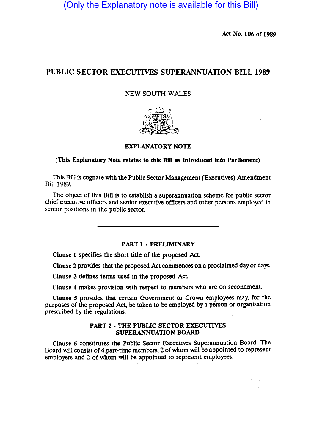(Only the Explanatory note is available for this Bill)

Act No. 106 or 1989

# PUBLIC SECTOR EXECUTIVES SUPERANNUATION BILL 1989

## NEW SOUTH WALES



## EXPLANATORY NOTE

#### (This Explanatory Note relates to this Bill as introduced into Parliament)

This Bill is cognate with the Public Sector Management (Executives) Amendment Bill 1989.

The Object of this Bill is to establish a superannuation scheme for public sector chief executive officers and senior executive officers and other persons employed in senior positions in the public sector.

## PART 1 - PRELIMINARY

Clause 1 specifies the short title of the proposed Act

Clause 2 provides that the proposed Act commences on a proclaimed day or days.

Clause 3 defines terms used in the proposed Act

 $\lambda_{\rm c}$  and  $\lambda_{\rm c}$ 

Clause 4 makes provision with respect to members who are on secondment

Clause 5 provides that certain Government or Crown employees may, for the purposes of the proposed Act, be taken to be employed by a person or organisation prescribed by the regulations. .

#### PART 2 - THE PUBLIC SECTOR EXECUTIVES SUPERANNUATION BOARD

Clause 6 COnStitutes the Public Sector Executives Superannuation Board. The Board will consist of 4 part-time members, 2 of whom will be appointed to represent employers and 2 of whom will be appointed to represent employees.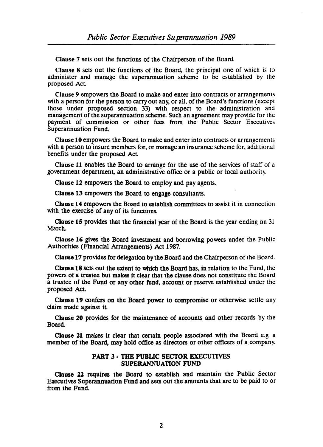Clause 7 sets out the functions of the Chairperson of the Board.

Clause 8 sets out the functions of the Board, the principal one of which is to administer and manage the superannuation scheme to be established by the proposed Act.

Clause 9 empowers the Board to make and enter into contracts or arrangements with a person for the person to carry out any, or all, of the Board's functions (except those under proposed section 33) with respect to the administration and management of the superannuation scheme. Such an agreement may provide for the payment of commission or other fees from the Public Sector Executives Superannuation Fund.

Clause 10 empowers the Board to make and enter into contracts or arrangements with a person to insure members for, or manage an insurance scheme for, additional benefits under the proposed Act.

Clause 11 enables the Board to arrange for the use of the services of staff of a government department, an administrative office or a public or local authority.

Clause 12 empowers the Board to employ and pay agents.

Clause 13 empowers the Board to engage consultants.

Clause 14 empowers the Board to establish committees to assist it in connection with the exercise of any of its functions.

Clause *IS* provides that the financial year of the Board is the year ending on 31 March.

Clause 16 gives the Board investment and borrowing powers under the Public Authorities (Financial Arrangements) Act 1987.

Clause 17 provides for delegation by the Board and the Chairperson of the Board.

Clause 18 sets out the extent to which the Board has, in relation to the Fund, the powers of a trustee but makes it clear that the clause does not constitute the Board a trustee of the Fund or any other fund, account or reserve established under the proposed Act.

Clause 19 confers on the Board power to compromise or otherwise settle any claim made against it.

Clause 20 provides for the maintenance of accounts and other records by the Board.

Clause 21 makes it clear that certain people associated with the Board e.g. a member of the Board, may hold office as directors or other officers of a company.

## PART 3 - THE PUBLIC SECTOR EXECUTIVES SUPERANNUATION FUND

Clause 22 requires the Board to establish and maintain the Public Sector Executives Superannuation Fund and sets out the amounts that are to be paid to or from the Fund.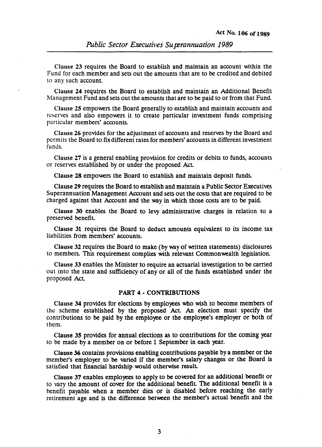Clause 23 requires the Board to establish and maintain an account within the Fund for each member and sets out the amounts that are to be credited and debited to any such account.

Clause 24 requires the Board to establish and maintain an Additional Benefit Management Fund and sets out the amounts that are to be paid to or from that Fund.

Clause 25 empowers the Board generally to establish and maintain accounts and reserves and also empowers it to create particular investment funds comprising particular members' accounts.

Clause 26 provides for the adjustment of accounts and reserves by the Board and permits the Board to fix different rates for members' accounts in different investment funds.

Clause 27 is a general enabling provision for credits or debits to funds, accounts or reserves established by or under the proposed Act.

Clause 28 empowers the Board to establish and maintain deposit funds.

Clause 29 requires the Board to establish and maintain a Public Sector Executive~ Superannuation Management Account and sets out the costs that are required to be charged against that Account and the way in which those costs are to be paid

Clause 30 enables the Board to levy administrative charges in relation to a preserved benefit.

Clause 31 requires the Board to deduct amounts equivalent to its income tax liabilities from members' accounts.

Clause 32 requires the Board to make (by way of written statements) disclosures to members. This requirement complies with relevant Commonwealth legislation.

Clause 33 enables the Minister to require an actuarial investigation to be carried out into the state and sufficiency of any or all of the funds established under the proposed Act.

### **PART 4 •** CONTRIBUTIONS

Clause 34 provides for elections by employees who wish to become members of the scheme established by the proposed Act. An election must specify the contributions to be paid by the employee or the employee's employer or both of them.

Clause 35 provides for annual elections as to contributions for the coming year to be made by a member on or before 1 September in each year.

Clause 36 contains provisions enabling contributions payable by a member or the member's employer to be varied if the member's salary changes or the Board is satisfied that financial hardship would otherwise result.

Clause 37 enables employees to apply to be covered for an additional benefit or to vary the amount of cover for the additional benefit. The additional benefit is a benefit payable when a member dies or is disabled before reaching the early retirement age and is the difference between the member's actual benefit and the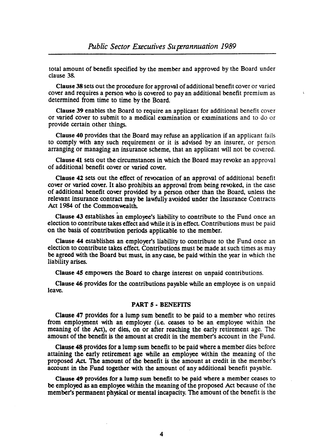total amount of benefit specified by the member and approved by the Board under clause 38.

Clause 38 sets out the procedure for approval of additional benefit cover or varied cover and requires a person who is covered to pay an additional benefit premium as determined from time to time by the Board

Clause 39 enables the Board to require an applicant for additional benefit cover or varied cover to submit to a medical examination or examinations and to do or provide certain other things.

Clause 40 provides that the Board may refuse an application if an applicant fails to comply with any such requirement or it is advised by an insurer, or person arranging or managing an insurance scheme, that an applicant will not be covered.

Clause 41 sets out the circumstances in which the Board may revoke an approval of additional benefit cover or varied cover.

Clause 42 sets out the effect of revocation of an approval of additional benefit cover or varied cover. It also prohibits an approval from being revoked, in the case of additional benefit cover provided by a person other than the Board, unless the relevant insurance contract may be lawfully avoided under the Insurance Contracts Act 1984 of the Commonwealth.

Clause 43 establishes an employee's liability to contribute to the Fund once an election to contribute takes effect and while it is in effect Contributions must be paid on the basis of contribution periods applicable to the member.

Clause 44 establishes an employer's liability to contribute to the Fund once an election to contribute takes effect Contributions must be made at such times as may be agreed with the Board but must, in any case, be paid within the year in which the liability arises.

Clause 45 empowers the Board to charge interest on unpaid contributions.

Clause 46 provides for the contributions payable while an employee is on unpaid leave.

#### PART 5 - BENEFITS

Clause 47 provides for a lump sum benefit to be paid to a member who retires from employment with an employer (i.e. ceases to be an employee within the meaning of the Act), or dies, on or after reaching the early retirement age. The amount of the benefit is the amount at credit in the member's account in the Fund.

Clause 48 provides for a lump sum benefit to be paid where a member dies before attaining the early retirement age while an employee within the meaning of the proposed Act. The amount of the benefit is the amount at credit in the member's account in the Fund together with the amount of any additional benefit payable.

Clause 49 provides for a lump sum benefit to be paid where a member ceases to be employed as an emplOyee within the meaning of the proposed Act because of the member's permanent physical or mental incapacity. The amount of the benefit is the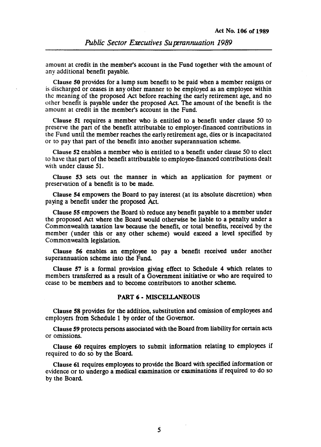amount at credit in the member's account in the Fund together with the amount of any additional benefit payable.

Clause 50 provides for a lump sum benefit to be paid when a member resigns or is discharged or ceases in any other manner to be employed as an employee within the meaning of the proposed Act before reaching the early retirement age, and no other benefit is payable under the proposed Act. The amount of the benefit is the amount at credit in the member's account in the Fund.

Clause 51 requires a member who is entitled to a benefit under clause 50 to preserve the part of the benefit attributable to employer-financed contributions in the Fund until the member reaches the early retirement age, dies or is incapacitated or to pay that part of the benefit into another superannuation scheme.

Clause 52 enables a member who is entitled to a benefit under clause 50 to elect to have that part of the benefit attributable to employee-financed contributions dealt with under clause 51.

Clause 53 sets out the manner in which an application for payment or preservation of a benefit is to be made.

Clause 54 empowers the Board to pay interest (at its absolute discretion) when paying a benefit under the proposed Act.

Clause 55 empowers the Board to reduce any benefit payable to a member under the proposed Act where the Board would otherwise be liable to a penalty under a Commonwealth taxation law because the benefit, or total benefits, received by the member (under this or any other scheme) would exceed a level specified by Commonwealth legislation.

Clause 56 enables an employee to pay a benefit received under another superannuation scheme into the Fund.

Clause 57 is a formal provision giving effect to Schedule 4 which relates to members transferred as a result of a Government initiative or who are required to cease to be members and to become contributors to another scheme.

## PART 6 • MISCELLANEOUS

Clause 58 provides for the addition, substitution and omission of employees and employers from Schedule 1 by order of the Governor.

Clause 59 protects persons associated with the Board from liability for certain acts or omissions.

Clause 60 requires employers to submit information relating to employees if required to do so by the Board.

Clause 61 requires employees to provide the Board with specified information or evidence or to undergo a medical examination or examinations if required to do so by the Board.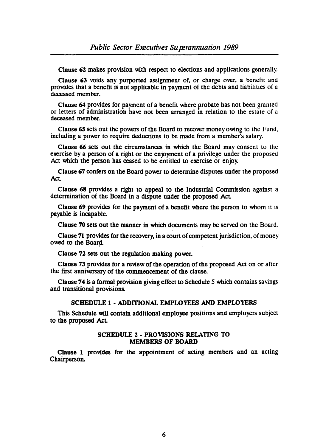Clause 62 makes provision with respect to elections and applications generally.

Clause 63 voids any purported assignment of, or charge over, a benefit and provides that a benefit is not applicable in payment of the debts and liabilities of a deceased member.

Clause 64 provides for payment of a benefit where probate has not been granted or letters of administration have not been arranged in relation to the estate of a deceased member.

Clause 6S sets out the powers of the Board to recover money owing to the Fund, including a power to require deductions to be made from a member's salary.

Clause 66 sets out the circumstances in which the Board may consent to the exercise by a person of a right or the enjoyment of a privilege under the proposed Act which the person has ceased to be entitled to exercise or enjoy.

Clause 67 confers on the Board power to determine disputes under the proposed Act

Clause 68 provides a right to appeal to the Industrial Commission against a determination of the Board in a dispute under the proposed Act.

Clause 69 provides for the payment of a benefit where the person to whom it is payable is incapable.

Clause 70 sets out the manner in which documents may be served on the Board.

Clause 71 provides for the recovery, in a court of competent jurisdiction, of money owed to the Board.

Clause 72 sets out the regulation making power.

Clause 73 provides for a review of the operation of the proposed Act on or after the first anniversary of the commencement of the clause.

Clause 74 is a formal provision giving effect to Schedule 5 which contains savings and transitional provisions.

#### SCHEDULE 1 - ADDITIONAL EMPLOYEES AND EMPLOYERS

This Schedule will contain additional employee positions and employers subject to the proposed AcL

## SCHEDULE 2 • PROVISIONS RELATING TO MEMBERS OF BOARD

Clause 1 provides for the appointment of acting members and an acting Chairperson.